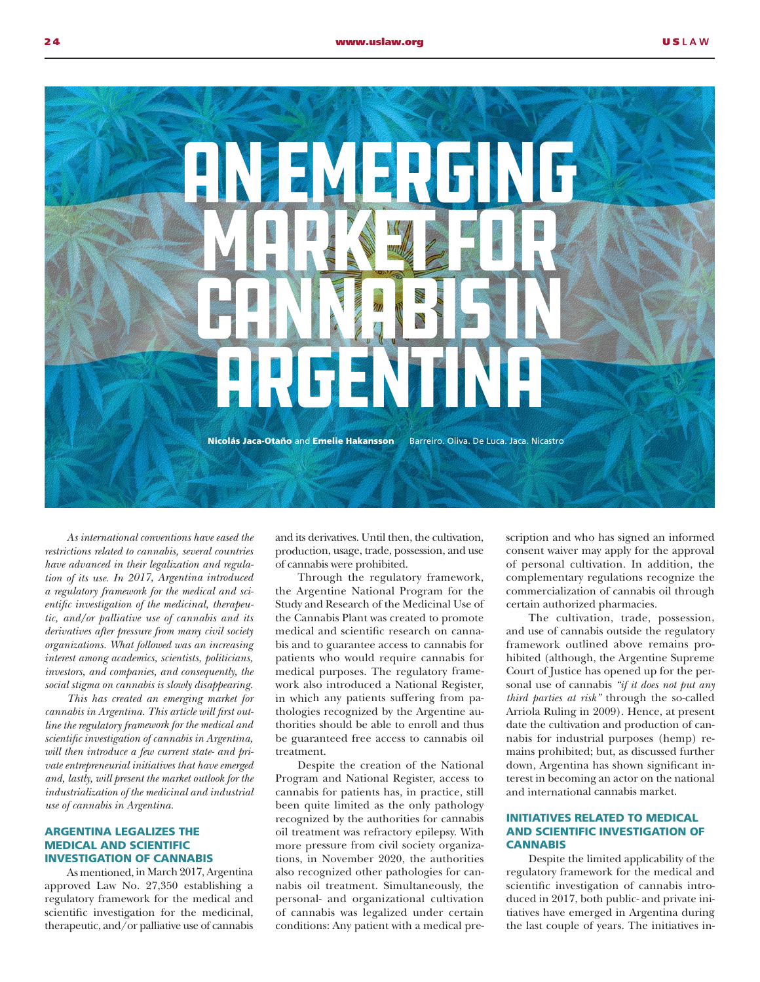

*As international conventions have eased the restrictions related to cannabis, several countries have advanced in their legalization and regulation of its use. In 2017, Argentina introduced a regulatory framework for the medical and scientific investigation of the medicinal, therapeutic, and/or palliative use of cannabis and its derivatives after pressure from many civil society organizations. What followed was an increasing interest among academics, scientists, politicians, investors, and companies, and consequently, the social stigma on cannabis is slowly disappearing.* 

*This has created an emerging market for cannabis in Argentina. This article will first outline the regulatory framework for the medical and scientific investigation of cannabis in Argentina, will then introduce a few current state- and private entrepreneurial initiatives that have emerged and, lastly, will present the market outlook for the industrialization of the medicinal and industrial use of cannabis in Argentina.*

## ARGENTINA LEGALIZES THE MEDICAL AND SCIENTIFIC INVESTIGATION OF CANNABIS

As mentioned, in March 2017, Argentina approved Law No. 27,350 establishing a regulatory framework for the medical and scientific investigation for the medicinal, therapeutic, and/or palliative use of cannabis

and its derivatives. Until then, the cultivation, production, usage, trade, possession, and use of cannabis were prohibited.

Through the regulatory framework, the Argentine National Program for the Study and Research of the Medicinal Use of the Cannabis Plant was created to promote medical and scientific research on cannabis and to guarantee access to cannabis for patients who would require cannabis for medical purposes. The regulatory framework also introduced a National Register, in which any patients suffering from pathologies recognized by the Argentine authorities should be able to enroll and thus be guaranteed free access to cannabis oil treatment.

Despite the creation of the National Program and National Register, access to cannabis for patients has, in practice, still been quite limited as the only pathology recognized by the authorities for cannabis oil treatment was refractory epilepsy. With more pressure from civil society organizations, in November 2020, the authorities also recognized other pathologies for cannabis oil treatment. Simultaneously, the personal- and organizational cultivation of cannabis was legalized under certain conditions: Any patient with a medical prescription and who has signed an informed consent waiver may apply for the approval of personal cultivation. In addition, the complementary regulations recognize the commercialization of cannabis oil through certain authorized pharmacies.

The cultivation, trade, possession, and use of cannabis outside the regulatory framework outlined above remains prohibited (although, the Argentine Supreme Court of Justice has opened up for the personal use of cannabis *"if it does not put any third parties at risk"* through the so-called Arriola Ruling in 2009). Hence, at present date the cultivation and production of cannabis for industrial purposes (hemp) remains prohibited; but, as discussed further down, Argentina has shown significant interest in becoming an actor on the national and international cannabis market.

## INITIATIVES RELATED TO MEDICAL AND SCIENTIFIC INVESTIGATION OF **CANNABIS**

Despite the limited applicability of the regulatory framework for the medical and scientific investigation of cannabis introduced in 2017, both public- and private initiatives have emerged in Argentina during the last couple of years. The initiatives in